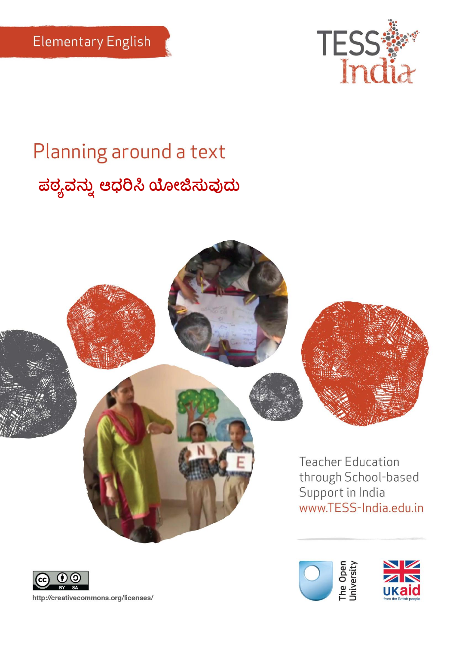

# Planning around a text **ಠ್ಯನನು ಆಧರಿಸಿಯೋಜಿಸನುದನ**





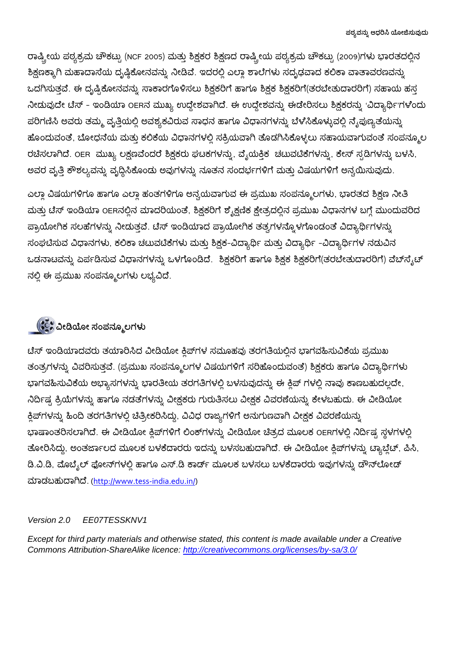ರಾಷ್ಟ್ರೀಯ ಪಠ್ಯಕ್ರಮ ಚೌಕಟ್ಟು (NCF 2005) ಮತ್ತು ಶಿಕ್ಷಕರ ಶಿಕ್ಷಣದ ರಾಷ್ಟ್ರೀಯ ಪಠ್ಯಕ್ರಮ ಚೌಕಟ್ಟು (2009)ಗಳು ಭಾರತದಲ್ಲಿನ ಶಿಕ್ಷಣಕ್ಕಾಗಿ ಮಹಾದಾಸೆಯ ದೃಷ್ಠಿಕೋನವನ್ನು ನೀಡಿವೆ. ಇದರಲ್ಲಿ ಎಲ್ಲಾ ಶಾಲೆಗಳು ಸದೃಢವಾದ ಕಲಿಕಾ ವಾತಾವರಣವನ್ನು ಒದಗಿಸುತ್ತವೆ. ಈ ದೃಷ್ಟಿಕೋನವನ್ನು ಸಾಕಾರಗೊಳಿಸಲು ಶಿಕ್ಷಕರಿಗೆ ಹಾಗೂ ಶಿಕ್ಷಕ ಶಿಕ್ಷಕರಿಗೆ(ತರಬೇತುದಾರರಿಗೆ) ಸಹಾಯ ಹಸ್ತ ನೀಡುವುದೇ ಟೆಸ್ - ಇಂಡಿಯಾ OERನ ಮುಖ್ಯ ಉದ್ದೇಶವಾಗಿದೆ. ಈ ಉದ್ದೇಶವನ್ನು ಈಡೇರಿಸಲು ಶಿಕ್ಷಕರನ್ನು 'ವಿದ್ಯಾರ್ಥಿ'ಗಳೆಂದು ಪರಿಗಣಿಸಿ ಅವರು ತಮ್ಮ ವೃತ್ತಿಯಲ್ಲಿ ಅವಶ್ಯಕವಿರುವ ಸಾಧನ ಹಾಗೂ ವಿಧಾನಗಳನ್ನು ಬೆಳೆಸಿಕೊಳ್ಳುವಲ್ಲಿ ನೈಪುಣ್ಯತೆಯನ್ನು ಹೊಂದುವಂತೆ, ಬೋಧನೆಯ ಮತ್ತು ಕಲಿಕೆಯ ವಿಧಾನಗಳಲ್ಲಿ ಸಕ್ರಿಯವಾಗಿ ತೊಡಗಿಸಿಕೊಳ್ಳಲು ಸಹಾಯವಾಗುವಂತೆ ಸಂಪನ್ಮೂಲ ರಚಿಸಲಾಗಿದೆ. OER ಮುಖ್ಯ ಲಕ್ಷಣವೆಂದರೆ ಶಿಕ್ಷಕರು ಘಟಕಗಳನ್ನು, ವೈಯಕ್ತಿಕ ಚಟುವಟಿಕೆಗಳನ್ನು, ಕೇಸ್ ಸ್ಪಡಿಗಳನ್ನು ಬಳಸಿ, ಅವರ ವೃತ್ತಿ ಕೌಶಲ್ಯವನ್ನು ವೃದ್ಧಿಸಿಕೊಂಡು ಅವುಗಳನ್ನು ನೂತನ ಸಂದರ್ಭಗಳಿಗೆ ಮತ್ತು ವಿಷಯಗಳಿಗೆ ಅನ್ವಯಿಸುವುದು.

ಎಲ್ಲಾ ವಿಷಯಗಳಿಗೂ ಹಾಗೂ ಎಲ್ಲಾ ಹಂತಗಳಿಗೂ ಅನ್ವಯವಾಗುವ ಈ ಪ್ರಮುಖ ಸಂಪನ್ಮೂಲಗಳು, ಭಾರತದ ಶಿಕ್ಷಣ ನೀತಿ ಮತ್ತು ಟೆಸ್ ಇಂಡಿಯಾ OERನಲ್ಲಿನ ಮಾದರಿಯಂತೆ, ಶಿಕ್ಷಕರಿಗೆ ಶೈಕ್ಷಣಿಕ ಕ್ಷೇತ್ರದಲ್ಲಿನ ಪ್ರಮುಖ ವಿಧಾನಗಳ ಬಗ್ಗೆ ಮುಂದುವರಿದ ಪ್ರಾಯೋಗಿಕ ಸಲಹೆಗಳನ್ನು ನೀಡುತ್ತವೆ. ಟೆಸ್ ಇಂಡಿಯಾದ ಪ್ರಾಯೋಗಿಕ ತತ್ವಗಳನ್ನೊಳಗೊಂಡಂತೆ ವಿದ್ಯಾರ್ಥಿಗಳನ್ನು ಸಂಘಟಿಸುವ ವಿಧಾನಗಳು, ಕಲಿಕಾ ಚಟುವಟಿಕೆಗಳು ಮತ್ತು ಶಿಕ್ಷಕ-ವಿದ್ಯಾರ್ಥಿ ಮತ್ತು ವಿದ್ಯಾರ್ಥಿ –ವಿದ್ಯಾರ್ಥಿಗಳ ನಡುವಿನ ಒಡನಾಟವನ್ನು ಏರ್ಪಡಿಸುವ ವಿಧಾನಗಳನ್ನು ಒಳಗೊಂಡಿದೆ. ಶಿಕ್ಷಕರಿಗೆ ಹಾಗೂ ಶಿಕ್ಷಕ ಶಿಕ್ಷಕರಿಗೆ(ತರಬೇತುದಾರರಿಗೆ) ವೆಬ್ $\vec{\rm a}_s$ ಟ್ ನಲ್ಲಿ ಈ ಪ್ರಮುಖ ಸಂಪನ್ಮೂಲಗಳು ಲಭ್ಯವಿದೆ.

### **ವೋಡಿಯೋ ಸಂನಮೂಲಗಳು**

ಟೆಸ್ ಇಂಡಿಯಾದವರು ತಯಾರಿಸಿದ ವೀಡಿಯೋ ಕ್ಲಿಪ್ಗಳ ಸಮೂಹವು ತರಗತಿಯಲ್ಲಿನ ಭಾಗವಹಿಸುವಿಕೆಯ ಪ್ರಮುಖ ತಂತ್ರಗಳನ್ನು ವಿವರಿಸುತ್ತವೆ. (ಪ್ರಮುಖ ಸಂಪನ್ಮೂಲಗಳ ವಿಷಯಗಳಿಗೆ ಸರಿಹೊಂದುವಂತೆ) ಶಿಕ್ಷಕರು ಹಾಗೂ ವಿದ್ಯಾರ್ಥಿಗಳು ಭಾಗವಹಿಸುವಿಕೆಯ ಅಭ್ಯಾಸಗಳನ್ನು ಭಾರತೀಯ ತರಗತಿಗಳಲ್ಲಿ ಬಳಸುವುದನ್ನು ಈ ಕ್ಲಿಪ್ ಗಳಲ್ಲಿ ನಾವು ಕಾಣಬಹುದಲ್ಲದೇ, ನಿರ್ದಿಷ್ಟ ಕ್ರಿಯೆಗಳನ್ನು ಹಾಗೂ ನಡತೆಗಳನ್ನು ವೀಕ್ಷಕರು ಗುರುತಿಸಲು ವೀಕ್ಷಕ ವಿವರಣೆಯನ್ನು ಕೇಳಬಹುದು. ಈ ವೀಡಿಯೋ ಕ್ಲಿಪ್ಗಳನ್ನು ಹಿಂದಿ ತರಗತಿಗಳಲ್ಲಿ ಚಿತ್ರೀಕರಿಸಿದ್ದು, ವಿವಿಧ ರಾಜ್ಯಗಳಿಗೆ ಅನುಗುಣವಾಗಿ ವೀಕ್ಷಕ ವಿವರಣೆಯನ್ನು ಭಾಷಾಂತರಿಸಲಾಗಿದೆ. ಈ ವೀಡಿಯೋ ಕ್ಲಿಪ್ಗಳಿಗೆ ಲಿಂಕ್ ಗಳನ್ನು ವೀಡಿಯೋ ಚಿತ್ರದ ಮೂಲಕ OERಗಳಲ್ಲಿ ನಿರ್ದಿಷ್ಟ ಸ್ಥಳಗಳಲ್ಲಿ ತೋರಿಸಿದ್ದು, ಅಂತರ್ಜಾಲದ ಮೂಲಕ ಬಳಕೆದಾರರು ಇದನ್ನು ಬಳಸಬಹುದಾಗಿದೆ. ಈ ವೀಡಿಯೋ ಕ್ಲಿಪ್ ಗಳನ್ನು ಟ್ಯಾಬ್ಲೆಟ್, ಪಿಸಿ, ಡಿ.ವಿ.ಡಿ, ಮೊಬ್ಶೆಲ್ ಫೋನ್ಗಳಲ್ಲಿ ಹಾಗೂ ಎಸ್.ಡಿ ಕಾರ್ಡ್ ಮೂಲಕ ಬಳಸಲು ಬಳಕೆದಾರರು ಇವುಗಳನ್ನು ಡೌನ್ಲೋಡ್ ಮಾಡಬಹುದಾಗಿದೆ. [\(http://www.tess-india.edu.in/\)](http://www.tess-india.edu.in/)

### *Version 2.0 EE07TESSKNV1*

*Except for third party materials and otherwise stated, this content is made available under a Creative Commons Attribution-ShareAlike licence:<http://creativecommons.org/licenses/by-sa/3.0/>*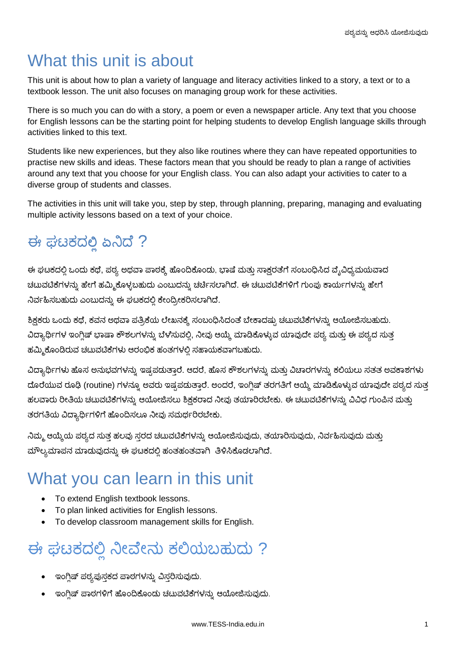# What this unit is about

This unit is about how to plan a variety of language and literacy activities linked to a story, a text or to a textbook lesson. The unit also focuses on managing group work for these activities.

There is so much you can do with a story, a poem or even a newspaper article. Any text that you choose for English lessons can be the starting point for helping students to develop English language skills through activities linked to this text.

Students like new experiences, but they also like routines where they can have repeated opportunities to practise new skills and ideas. These factors mean that you should be ready to plan a range of activities around any text that you choose for your English class. You can also adapt your activities to cater to a diverse group of students and classes.

The activities in this unit will take you, step by step, through planning, preparing, managing and evaluating multiple activity lessons based on a text of your choice.

# ಈ ಘಟ್ಕ್ದ**ಲ್ಲಿಏ**ನದೆ ?

ಈ ಘಟಕದಲ್ಲಿ ಒಂದು ಕಥೆ, ಪಠ್ಯ ಅಥವಾ ಪಾಠಕ್ಕೆ ಹೊಂದಿಕೊಂಡು, ಭಾಷೆ ಮತ್ತು ಸಾಕ್ಷರತೆಗೆ ಸಂಬಂಧಿಸಿದ ವ್ಯೆವಿಧ್ಯಮಯವಾದ ಚಟುವಟಿಕೆಗಳನ್ನು ಹೇಗೆ ಹಮ್ಮಿಕೊಳ್ಳಬಹುದು ಎಂಬುದನ್ನು ಚರ್ಚಿಸಲಾಗಿದೆ. ಈ ಚಟುವಟಿಕೆಗಳಿಗೆ ಗುಂಪು ಕಾರ್ಯಗಳನ್ನು ಹೇಗೆ ನಿರ್ವಹಿಸಬಹುದು ಎಂಬುದನ್ನು ಈ ಘಟಕದಲ್ಲಿ ಕೇಂದ್ರೀಕರಿಸಲಾಗಿದೆ.

ಶಿಕ್ಷಕರು ಒಂದು ಕಥೆ, ಕವನ ಅಥವಾ ಪತ್ರಿಕೆಯ ಲೇಖನಕ್ಕೆ ಸಂಬಂಧಿಸಿದಂತೆ ಬೇಕಾದಷ್ಟು ಚಟುವಟಿಕೆಗಳನ್ನು ಆಯೋಜಿಸಬಹುದು. ವಿದ್ಯಾರ್ಥಿಗಳ ಇಂಗ್ಲಿಷ್ ಭಾಷಾ ಕೌಶಲಗಳನ್ನು ಬೆಳೆಸುವಲ್ಲಿ, ನೀವು ಆಯ್ಕೆ ಮಾಡಿಕೊಳ್ಳುವ ಯಾವುದೇ ಪಠ್ಯ ಮತ್ತು ಈ ಪಠ್ಯದ ಸುತ್ತ ಹಮ್ಮಿಕೊಂಡಿರುವ ಚಟುವಟಿಕೆಗಳು ಆರಂಭಿಕ ಹಂತಗಳಲಿ ಸಹಾಯಕವಾಗಬಹುದು.

ವಿದ್ಯಾರ್ಥಿಗಳು ಹೊಸ ಅನುಭವಗಳನ್ನು ಇಷ್ಟಪಡುತ್ತಾರೆ. ಆದರೆ, ಹೊಸ ಕೌಶಲಗಳನ್ನು ಮತ್ತು ವಿಚಾರಗಳನ್ನು ಕಲಿಯಲು ಸತತ ಅವಕಾಶಗಳು ದೊರೆಯುವ ರೂಢಿ (routine) ಗಳನ್ನೂ ಅವರು ಇಷ್ಟಪಡುತ್ತಾರೆ. ಅಂದರೆ, ಇಂಗ್ಲಿಷ್ ತರಗತಿಗೆ ಆಯ್ಕೆ ಮಾಡಿಕೊಳ್ಳುವ ಯಾವುದೇ ಪಠ್ಯದ ಸುತ್ತ ಹಲವಾರು ರೀತಿಯ ಚಟುವಟಿಕೆಗಳನ್ನು ಆಯೋಜಿಸಲು ಶಿಕ್ಷಕರಾದ ನೀವು ತಯಾರಿರಬೇಕು. ಈ ಚಟುವಟಿಕೆಗಳನ್ನು ವಿವಿಧ ಗುಂಪಿನ ಮತ್ತು ತರಗತಿಯ ವಿದ್ಯಾರ್ಥಿಗಳಿಗೆ ಹೊಂದಿಸಲೂ ನೀವು ಸಮರ್ಥರಿರಬೇಕು.

ನಿಮ್ಮ ಆಯ್ಕೆಯ ಪಠ್ಯದ ಸುತ್ತ ಹಲವು ಸ್ತರದ ಚಟುವಟಿಕೆಗಳನ್ನು ಆಯೋಜಿಸುವುದು, ತಯಾರಿಸುವುದು, ನಿರ್ವಹಿಸುವುದು ಮತ್ತು ಮೌಲ್ಯಮಾಪನ ಮಾಡುವುದನ್ನು ಈ ಘಟಕದಲ್ಲಿ ಹಂತಹಂತವಾಗಿ ತಿಳಿಸಿಕೊಡಲಾಗಿದೆ.

# What you can learn in this unit

- To extend English textbook lessons.
- To plan linked activities for English lessons.
- To develop classroom management skills for English.

# ಈ ಘಟಕದಲ್ಲಿ ನೀವೇನು ಕಲಿಯಬಹುದು ?

- ಇಂಗ್ಲಿಷ್ ಪಠ್ಯಪುಸ್ತಕದ ಪಾಠಗಳನ್ನು ವಿಸ್ತರಿಸುವುದು.
- ಇಂಗ್ಲಿಷ್ ಪಾಠಗಳಿಗೆ ಹೊಂದಿಕೊಂಡು ಚಟುವಟಿಕೆಗಳನ್ನು ಆಯೋಜಿಸುವುದು.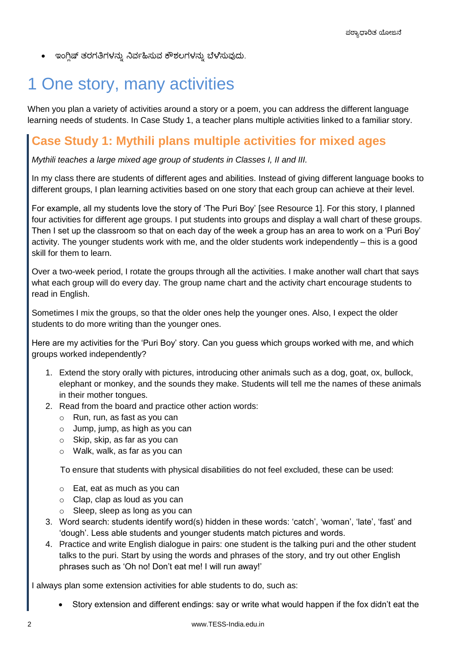ಇಂಗ್ಲಿಷ್ ತರಗತಿಗಳನ್ನು ನಿರ್ವಹಿಸುವ ಕೌಶಲಗಳನ್ನು ಬೆಳೆಸುವುದು.

# 1 One story, many activities

When you plan a variety of activities around a story or a poem, you can address the different language learning needs of students. In Case Study 1, a teacher plans multiple activities linked to a familiar story.

### **Case Study 1: Mythili plans multiple activities for mixed ages**

*Mythili teaches a large mixed age group of students in Classes I, II and III.* 

In my class there are students of different ages and abilities. Instead of giving different language books to different groups, I plan learning activities based on one story that each group can achieve at their level.

For example, all my students love the story of 'The Puri Boy' [see Resource 1]. For this story, I planned four activities for different age groups. I put students into groups and display a wall chart of these groups. Then I set up the classroom so that on each day of the week a group has an area to work on a 'Puri Boy' activity. The younger students work with me, and the older students work independently – this is a good skill for them to learn.

Over a two-week period, I rotate the groups through all the activities. I make another wall chart that says what each group will do every day. The group name chart and the activity chart encourage students to read in English.

Sometimes I mix the groups, so that the older ones help the younger ones. Also, I expect the older students to do more writing than the younger ones.

Here are my activities for the 'Puri Boy' story. Can you guess which groups worked with me, and which groups worked independently?

- 1. Extend the story orally with pictures, introducing other animals such as a dog, goat, ox, bullock, elephant or monkey, and the sounds they make. Students will tell me the names of these animals in their mother tongues.
- 2. Read from the board and practice other action words:
	- o Run, run, as fast as you can
	- $\circ$  Jump, jump, as high as you can
	- o Skip, skip, as far as you can
	- o Walk, walk, as far as you can

To ensure that students with physical disabilities do not feel excluded, these can be used:

- o Eat, eat as much as you can
- o Clap, clap as loud as you can
- o Sleep, sleep as long as you can
- 3. Word search: students identify word(s) hidden in these words: 'catch', 'woman', 'late', 'fast' and 'dough'. Less able students and younger students match pictures and words.
- 4. Practice and write English dialogue in pairs: one student is the talking puri and the other student talks to the puri. Start by using the words and phrases of the story, and try out other English phrases such as 'Oh no! Don't eat me! I will run away!'

I always plan some extension activities for able students to do, such as:

Story extension and different endings: say or write what would happen if the fox didn't eat the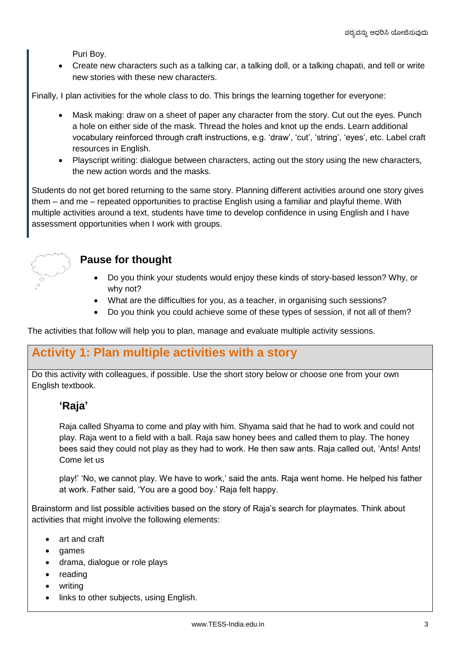Puri Boy.

 Create new characters such as a talking car, a talking doll, or a talking chapati, and tell or write new stories with these new characters.

Finally, I plan activities for the whole class to do. This brings the learning together for everyone:

- Mask making: draw on a sheet of paper any character from the story. Cut out the eyes. Punch a hole on either side of the mask. Thread the holes and knot up the ends. Learn additional vocabulary reinforced through craft instructions, e.g. 'draw', 'cut', 'string', 'eyes', etc. Label craft resources in English.
- Playscript writing: dialogue between characters, acting out the story using the new characters, the new action words and the masks.

Students do not get bored returning to the same story. Planning different activities around one story gives them – and me – repeated opportunities to practise English using a familiar and playful theme. With multiple activities around a text, students have time to develop confidence in using English and I have assessment opportunities when I work with groups.



### **Pause for thought**

- Do you think your students would enjoy these kinds of story-based lesson? Why, or why not?
- What are the difficulties for you, as a teacher, in organising such sessions?
- Do you think you could achieve some of these types of session, if not all of them?

The activities that follow will help you to plan, manage and evaluate multiple activity sessions.

### **Activity 1: Plan multiple activities with a story**

Do this activity with colleagues, if possible. Use the short story below or choose one from your own English textbook.

### **'Raja'**

Raja called Shyama to come and play with him. Shyama said that he had to work and could not play. Raja went to a field with a ball. Raja saw honey bees and called them to play. The honey bees said they could not play as they had to work. He then saw ants. Raja called out, 'Ants! Ants! Come let us

play!' 'No, we cannot play. We have to work,' said the ants. Raja went home. He helped his father at work. Father said, 'You are a good boy.' Raja felt happy.

Brainstorm and list possible activities based on the story of Raja's search for playmates. Think about activities that might involve the following elements:

- art and craft
- games
- drama, dialogue or role plays
- reading
- writing
- links to other subjects, using English.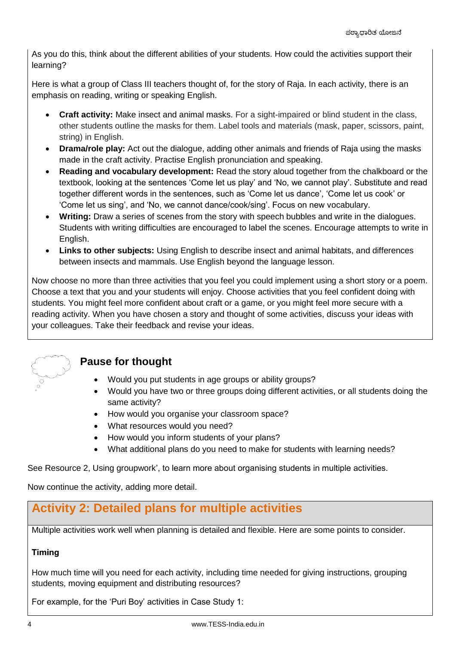As you do this, think about the different abilities of your students. How could the activities support their learning?

Here is what a group of Class III teachers thought of, for the story of Raja. In each activity, there is an emphasis on reading, writing or speaking English.

- **Craft activity:** Make insect and animal masks. For a sight-impaired or blind student in the class, other students outline the masks for them. Label tools and materials (mask, paper, scissors, paint, string) in English.
- **Drama/role play:** Act out the dialogue, adding other animals and friends of Raja using the masks made in the craft activity. Practise English pronunciation and speaking.
- **Reading and vocabulary development:** Read the story aloud together from the chalkboard or the textbook, looking at the sentences 'Come let us play' and 'No, we cannot play'. Substitute and read together different words in the sentences, such as 'Come let us dance', 'Come let us cook' or 'Come let us sing', and 'No, we cannot dance/cook/sing'. Focus on new vocabulary.
- **Writing:** Draw a series of scenes from the story with speech bubbles and write in the dialogues. Students with writing difficulties are encouraged to label the scenes. Encourage attempts to write in English.
- **Links to other subjects:** Using English to describe insect and animal habitats, and differences between insects and mammals. Use English beyond the language lesson.

Now choose no more than three activities that you feel you could implement using a short story or a poem. Choose a text that you and your students will enjoy. Choose activities that you feel confident doing with students. You might feel more confident about craft or a game, or you might feel more secure with a reading activity. When you have chosen a story and thought of some activities, discuss your ideas with your colleagues. Take their feedback and revise your ideas.



### **Pause for thought**

- Would you put students in age groups or ability groups?
- Would you have two or three groups doing different activities, or all students doing the same activity?
- How would you organise your classroom space?
- What resources would you need?
- How would you inform students of your plans?
- What additional plans do you need to make for students with learning needs?

See Resource 2, Using groupwork', to learn more about organising students in multiple activities.

Now continue the activity, adding more detail.

### **Activity 2: Detailed plans for multiple activities**

Multiple activities work well when planning is detailed and flexible. Here are some points to consider.

### **Timing**

How much time will you need for each activity, including time needed for giving instructions, grouping students, moving equipment and distributing resources?

For example, for the 'Puri Boy' activities in Case Study 1: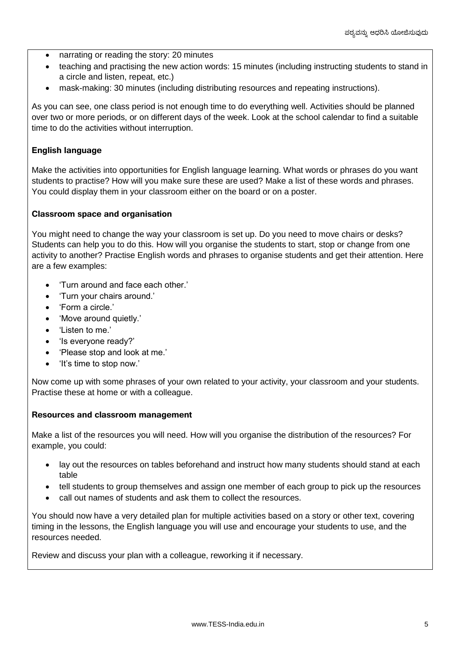- narrating or reading the story: 20 minutes
- teaching and practising the new action words: 15 minutes (including instructing students to stand in a circle and listen, repeat, etc.)
- mask-making: 30 minutes (including distributing resources and repeating instructions).

As you can see, one class period is not enough time to do everything well. Activities should be planned over two or more periods, or on different days of the week. Look at the school calendar to find a suitable time to do the activities without interruption.

#### **English language**

Make the activities into opportunities for English language learning. What words or phrases do you want students to practise? How will you make sure these are used? Make a list of these words and phrases. You could display them in your classroom either on the board or on a poster.

#### **Classroom space and organisation**

You might need to change the way your classroom is set up. Do you need to move chairs or desks? Students can help you to do this. How will you organise the students to start, stop or change from one activity to another? Practise English words and phrases to organise students and get their attention. Here are a few examples:

- 'Turn around and face each other.'
- 'Turn your chairs around.'
- 'Form a circle.'
- 'Move around quietly.'
- 'Listen to me.'
- 'Is everyone ready?'
- 'Please stop and look at me.'
- 'It's time to stop now.'

Now come up with some phrases of your own related to your activity, your classroom and your students. Practise these at home or with a colleague.

#### **Resources and classroom management**

Make a list of the resources you will need. How will you organise the distribution of the resources? For example, you could:

- lay out the resources on tables beforehand and instruct how many students should stand at each table
- tell students to group themselves and assign one member of each group to pick up the resources
- call out names of students and ask them to collect the resources.

You should now have a very detailed plan for multiple activities based on a story or other text, covering timing in the lessons, the English language you will use and encourage your students to use, and the resources needed.

Review and discuss your plan with a colleague, reworking it if necessary.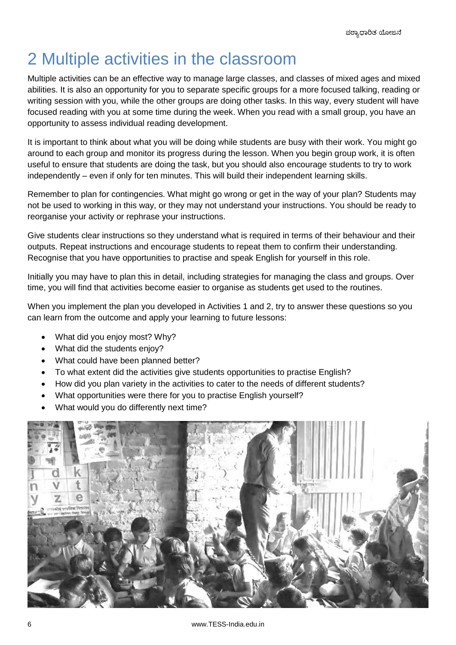# 2 Multiple activities in the classroom

Multiple activities can be an effective way to manage large classes, and classes of mixed ages and mixed abilities. It is also an opportunity for you to separate specific groups for a more focused talking, reading or writing session with you, while the other groups are doing other tasks. In this way, every student will have focused reading with you at some time during the week. When you read with a small group, you have an opportunity to assess individual reading development.

It is important to think about what you will be doing while students are busy with their work. You might go around to each group and monitor its progress during the lesson. When you begin group work, it is often useful to ensure that students are doing the task, but you should also encourage students to try to work independently – even if only for ten minutes. This will build their independent learning skills.

Remember to plan for contingencies. What might go wrong or get in the way of your plan? Students may not be used to working in this way, or they may not understand your instructions. You should be ready to reorganise your activity or rephrase your instructions.

Give students clear instructions so they understand what is required in terms of their behaviour and their outputs. Repeat instructions and encourage students to repeat them to confirm their understanding. Recognise that you have opportunities to practise and speak English for yourself in this role.

Initially you may have to plan this in detail, including strategies for managing the class and groups. Over time, you will find that activities become easier to organise as students get used to the routines.

When you implement the plan you developed in Activities 1 and 2, try to answer these questions so you can learn from the outcome and apply your learning to future lessons:

- What did you enjoy most? Why?
- What did the students enjoy?
- What could have been planned better?
- To what extent did the activities give students opportunities to practise English?
- How did you plan variety in the activities to cater to the needs of different students?
- What opportunities were there for you to practise English yourself?
- What would you do differently next time?

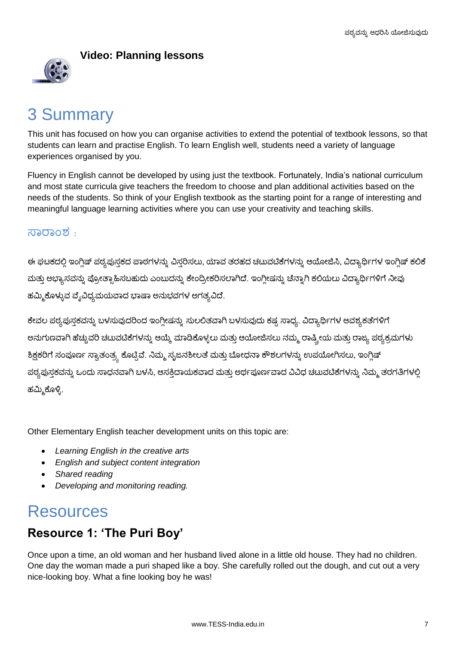

### **Video: Planning lessons**

### 3 Summary

This unit has focused on how you can organise activities to extend the potential of textbook lessons, so that students can learn and practise English. To learn English well, students need a variety of language experiences organised by you.

Fluency in English cannot be developed by using just the textbook. Fortunately, India's national curriculum and most state curricula give teachers the freedom to choose and plan additional activities based on the needs of the students. So think of your English textbook as the starting point for a range of interesting and meaningful language learning activities where you can use your creativity and teaching skills.

### $\overline{350000}$  :

ಈ ಘಟಕದಲ್ಲಿ ಇಂಗ್ಲಿಷ್ ಪಠ್ಯಪುಸ್ತಕದ ಪಾಠಗಳನ್ನು ವಿಸ್ತರಿಸಲು, ಯಾವ ತರಹದ ಚಟುವಟಿಕೆಗಳನ್ನು ಆಯೋಜಿಸಿ, ವಿದ್ಯಾರ್ಥಿಗಳ ಇಂಗ್ಲಿಷ್ ಕಲಿಕೆ ಮತ್ತು ಅಭ್ಯಾಸವನ್ನು ಪ್ರೋತ್ಸಾಹಿಸಬಹುದು ಎಂಬುದನ್ನು ಕೇಂದ್ರೀಕರಿಸಲಾಗಿದೆ. ಇಂಗ್ಲೀಷನ್ನು ಚೆನ್ನಾಗಿ ಕಲಿಯಲು ವಿದ್ಯಾರ್ಥಿಗಳಿಗೆ ನೀವು ಹಮ್ಮಿಕೊಳ್ಳುವ ವೈವಿಧ್ಯಮಯವಾದ ಭಾಷಾ ಅನುಭವಗಳ ಅಗತ್ಯವಿದೆ.

ಕೇವಲ ಪಠ್ಯಪುಸ್ತಕವನ್ನು ಬಳಸುವುದರಿಂದ ಇಂಗ್ಲೀಷನ್ನು ಸುಲಲಿತವಾಗಿ ಬಳಸುವುದು ಕಷ್ಟ ಸಾಧ್ಯ. ವಿದ್ಯಾರ್ಥಿಗಳ ಆವಶ್ಯಕತೆಗಳಿಗೆ ಅನುಗುಣವಾಗಿ ಹೆಚ್ಚುವರಿ ಚಟುವಟಿಕೆಗಳನ್ನು ಆಯ್ಕೆ ಮಾಡಿಕೊಳ್ಳಲು ಮತ್ತು ಆಯೋಜಿಸಲು ನಮ್ಮ ರಾಷ್ಟ್ರೀಯ ಮತ್ತು ರಾಜ್ಯ ಪಠ್ಯಕ್ರಮಗಳು ಶಿಕ್ಷಕರಿಗೆ ಸಂಪೂರ್ಣ ಸ್ವಾತಂತ್ರ್ಯ ಕೊಟ್ಟಿವೆ. ನಿಮ್ಮ ಸೃಜನಶೀಲತೆ ಮತ್ತು ಬೋಧನಾ ಕೌಶಲಗಳನ್ನು ಉಪಯೋಗಿಸಲು, ಇಂಗ್ಲಿಷ್ ಪಠ್ಯಪುಸ್ತಕವನ್ನು ಒಂದು ಸಾಧನವಾಗಿ ಬಳಸಿ, ಆಸಕ್ತಿದಾಯಕವಾದ ಮತ್ತು ಅರ್ಥಪೂರ್ಣವಾದ ವಿವಿಧ ಚಟುವಟಿಕೆಗಳನ್ನು ನಿಮ್ಮ ತರಗತಿಗಳಲ್ಲಿ ಹಮ್ಮಿಕೊಳ್ಳಿ.

Other Elementary English teacher development units on this topic are:

- *Learning English in the creative arts*
- *English and subject content integration*
- *Shared reading*
- *Developing and monitoring reading.*

### **Resources**

### **Resource 1: 'The Puri Boy'**

Once upon a time, an old woman and her husband lived alone in a little old house. They had no children. One day the woman made a puri shaped like a boy. She carefully rolled out the dough, and cut out a very nice-looking boy. What a fine looking boy he was!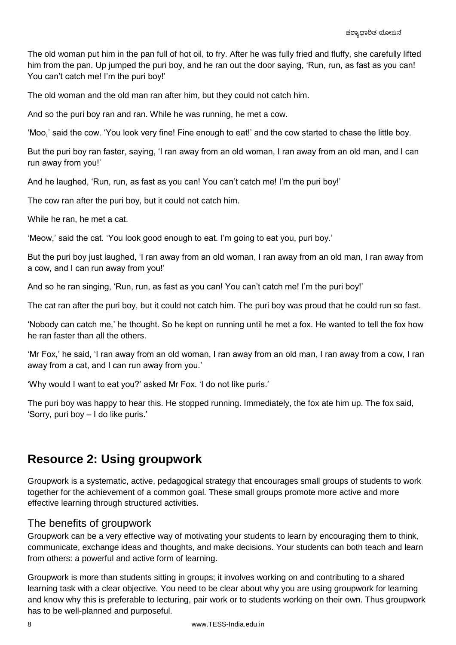The old woman put him in the pan full of hot oil, to fry. After he was fully fried and fluffy, she carefully lifted him from the pan. Up jumped the puri boy, and he ran out the door saying, 'Run, run, as fast as you can! You can't catch me! I'm the puri boy!'

The old woman and the old man ran after him, but they could not catch him.

And so the puri boy ran and ran. While he was running, he met a cow.

'Moo,' said the cow. 'You look very fine! Fine enough to eat!' and the cow started to chase the little boy.

But the puri boy ran faster, saying, 'I ran away from an old woman, I ran away from an old man, and I can run away from you!'

And he laughed, 'Run, run, as fast as you can! You can't catch me! I'm the puri boy!'

The cow ran after the puri boy, but it could not catch him.

While he ran, he met a cat.

'Meow,' said the cat. 'You look good enough to eat. I'm going to eat you, puri boy.'

But the puri boy just laughed, 'I ran away from an old woman, I ran away from an old man, I ran away from a cow, and I can run away from you!'

And so he ran singing, 'Run, run, as fast as you can! You can't catch me! I'm the puri boy!'

The cat ran after the puri boy, but it could not catch him. The puri boy was proud that he could run so fast.

'Nobody can catch me,' he thought. So he kept on running until he met a fox. He wanted to tell the fox how he ran faster than all the others.

'Mr Fox,' he said, 'I ran away from an old woman, I ran away from an old man, I ran away from a cow, I ran away from a cat, and I can run away from you.'

'Why would I want to eat you?' asked Mr Fox. 'I do not like puris.'

The puri boy was happy to hear this. He stopped running. Immediately, the fox ate him up. The fox said, 'Sorry, puri boy – I do like puris.'

### **Resource 2: Using groupwork**

Groupwork is a systematic, active, pedagogical strategy that encourages small groups of students to work together for the achievement of a common goal. These small groups promote more active and more effective learning through structured activities.

### The benefits of groupwork

Groupwork can be a very effective way of motivating your students to learn by encouraging them to think, communicate, exchange ideas and thoughts, and make decisions. Your students can both teach and learn from others: a powerful and active form of learning.

Groupwork is more than students sitting in groups; it involves working on and contributing to a shared learning task with a clear objective. You need to be clear about why you are using groupwork for learning and know why this is preferable to lecturing, pair work or to students working on their own. Thus groupwork has to be well-planned and purposeful.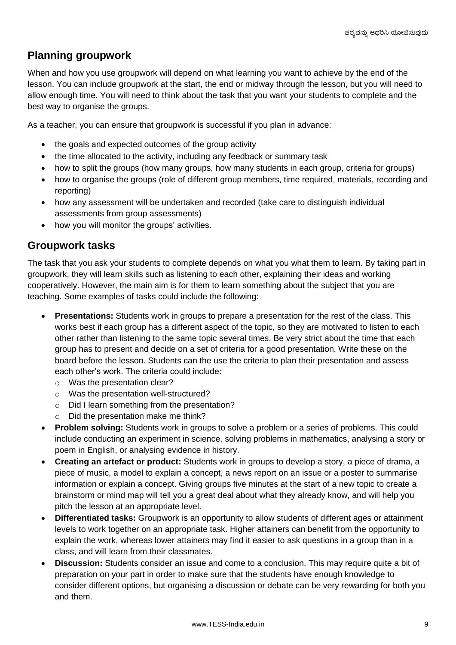### **Planning groupwork**

When and how you use groupwork will depend on what learning you want to achieve by the end of the lesson. You can include groupwork at the start, the end or midway through the lesson, but you will need to allow enough time. You will need to think about the task that you want your students to complete and the best way to organise the groups.

As a teacher, you can ensure that groupwork is successful if you plan in advance:

- the goals and expected outcomes of the group activity
- the time allocated to the activity, including any feedback or summary task
- how to split the groups (how many groups, how many students in each group, criteria for groups)
- how to organise the groups (role of different group members, time required, materials, recording and reporting)
- how any assessment will be undertaken and recorded (take care to distinguish individual assessments from group assessments)
- how you will monitor the groups' activities.

### **Groupwork tasks**

The task that you ask your students to complete depends on what you what them to learn. By taking part in groupwork, they will learn skills such as listening to each other, explaining their ideas and working cooperatively. However, the main aim is for them to learn something about the subject that you are teaching. Some examples of tasks could include the following:

- **Presentations:** Students work in groups to prepare a presentation for the rest of the class. This works best if each group has a different aspect of the topic, so they are motivated to listen to each other rather than listening to the same topic several times. Be very strict about the time that each group has to present and decide on a set of criteria for a good presentation. Write these on the board before the lesson. Students can the use the criteria to plan their presentation and assess each other's work. The criteria could include:
	- o Was the presentation clear?
	- o Was the presentation well-structured?
	- o Did I learn something from the presentation?
	- o Did the presentation make me think?
- **Problem solving:** Students work in groups to solve a problem or a series of problems. This could include conducting an experiment in science, solving problems in mathematics, analysing a story or poem in English, or analysing evidence in history.
- **Creating an artefact or product:** Students work in groups to develop a story, a piece of drama, a piece of music, a model to explain a concept, a news report on an issue or a poster to summarise information or explain a concept. Giving groups five minutes at the start of a new topic to create a brainstorm or mind map will tell you a great deal about what they already know, and will help you pitch the lesson at an appropriate level.
- **Differentiated tasks:** Groupwork is an opportunity to allow students of different ages or attainment levels to work together on an appropriate task. Higher attainers can benefit from the opportunity to explain the work, whereas lower attainers may find it easier to ask questions in a group than in a class, and will learn from their classmates.
- **Discussion:** Students consider an issue and come to a conclusion. This may require quite a bit of preparation on your part in order to make sure that the students have enough knowledge to consider different options, but organising a discussion or debate can be very rewarding for both you and them.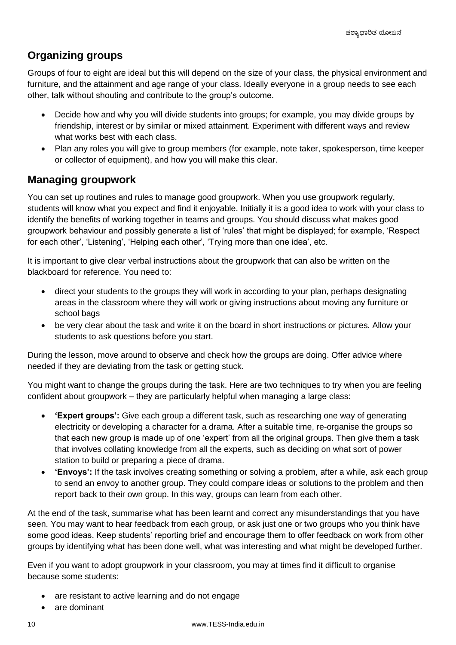### **Organizing groups**

Groups of four to eight are ideal but this will depend on the size of your class, the physical environment and furniture, and the attainment and age range of your class. Ideally everyone in a group needs to see each other, talk without shouting and contribute to the group's outcome.

- Decide how and why you will divide students into groups; for example, you may divide groups by friendship, interest or by similar or mixed attainment. Experiment with different ways and review what works best with each class.
- Plan any roles you will give to group members (for example, note taker, spokesperson, time keeper or collector of equipment), and how you will make this clear.

### **Managing groupwork**

You can set up routines and rules to manage good groupwork. When you use groupwork regularly, students will know what you expect and find it enjoyable. Initially it is a good idea to work with your class to identify the benefits of working together in teams and groups. You should discuss what makes good groupwork behaviour and possibly generate a list of 'rules' that might be displayed; for example, 'Respect for each other', 'Listening', 'Helping each other', 'Trying more than one idea', etc.

It is important to give clear verbal instructions about the groupwork that can also be written on the blackboard for reference. You need to:

- direct your students to the groups they will work in according to your plan, perhaps designating areas in the classroom where they will work or giving instructions about moving any furniture or school bags
- be very clear about the task and write it on the board in short instructions or pictures. Allow your students to ask questions before you start.

During the lesson, move around to observe and check how the groups are doing. Offer advice where needed if they are deviating from the task or getting stuck.

You might want to change the groups during the task. Here are two techniques to try when you are feeling confident about groupwork – they are particularly helpful when managing a large class:

- **'Expert groups':** Give each group a different task, such as researching one way of generating electricity or developing a character for a drama. After a suitable time, re-organise the groups so that each new group is made up of one 'expert' from all the original groups. Then give them a task that involves collating knowledge from all the experts, such as deciding on what sort of power station to build or preparing a piece of drama.
- **'Envoys':** If the task involves creating something or solving a problem, after a while, ask each group to send an envoy to another group. They could compare ideas or solutions to the problem and then report back to their own group. In this way, groups can learn from each other.

At the end of the task, summarise what has been learnt and correct any misunderstandings that you have seen. You may want to hear feedback from each group, or ask just one or two groups who you think have some good ideas. Keep students' reporting brief and encourage them to offer feedback on work from other groups by identifying what has been done well, what was interesting and what might be developed further.

Even if you want to adopt groupwork in your classroom, you may at times find it difficult to organise because some students:

- are resistant to active learning and do not engage
- are dominant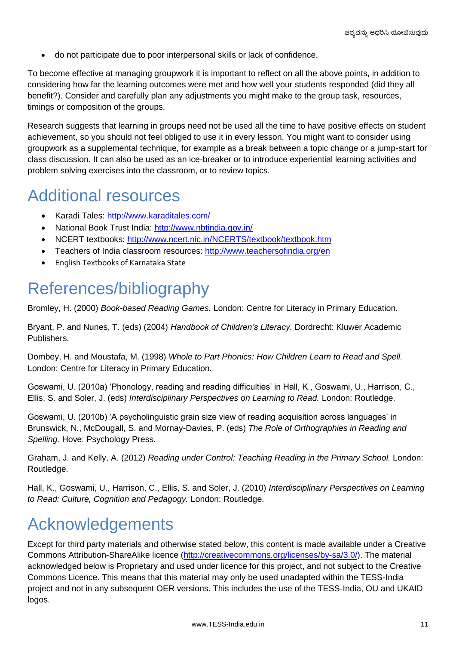do not participate due to poor interpersonal skills or lack of confidence.

To become effective at managing groupwork it is important to reflect on all the above points, in addition to considering how far the learning outcomes were met and how well your students responded (did they all benefit?). Consider and carefully plan any adjustments you might make to the group task, resources, timings or composition of the groups.

Research suggests that learning in groups need not be used all the time to have positive effects on student achievement, so you should not feel obliged to use it in every lesson. You might want to consider using groupwork as a supplemental technique, for example as a break between a topic change or a jump-start for class discussion. It can also be used as an ice-breaker or to introduce experiential learning activities and problem solving exercises into the classroom, or to review topics.

### Additional resources

- Karadi Tales:<http://www.karaditales.com/>
- National Book Trust India:<http://www.nbtindia.gov.in/>
- NCERT textbooks:<http://www.ncert.nic.in/NCERTS/textbook/textbook.htm>
- Teachers of India classroom resources:<http://www.teachersofindia.org/en>
- English Textbooks of Karnataka State

### References/bibliography

Bromley, H. (2000) *Book-based Reading Games.* London: Centre for Literacy in Primary Education.

Bryant, P. and Nunes, T. (eds) (2004) *Handbook of Children's Literacy.* Dordrecht: Kluwer Academic Publishers.

Dombey, H. and Moustafa, M. (1998) *Whole to Part Phonics: How Children Learn to Read and Spell.* London: Centre for Literacy in Primary Education.

Goswami, U. (2010a) 'Phonology, reading and reading difficulties' in Hall, K., Goswami, U., Harrison, C., Ellis, S. and Soler, J. (eds) *Interdisciplinary Perspectives on Learning to Read.* London: Routledge.

Goswami, U. (2010b) 'A psycholinguistic grain size view of reading acquisition across languages' in Brunswick, N., McDougall, S. and Mornay-Davies, P. (eds) *The Role of Orthographies in Reading and Spelling.* Hove: Psychology Press.

Graham, J. and Kelly, A. (2012) *Reading under Control: Teaching Reading in the Primary School.* London: Routledge.

Hall, K., Goswami, U., Harrison, C., Ellis, S. and Soler, J. (2010) *Interdisciplinary Perspectives on Learning to Read: Culture, Cognition and Pedagogy.* London: Routledge.

### Acknowledgements

Except for third party materials and otherwise stated below, this content is made available under a Creative Commons Attribution-ShareAlike licence [\(http://creativecommons.org/licenses/by-sa/3.0/\)](http://creativecommons.org/licenses/by-sa/3.0/). The material acknowledged below is Proprietary and used under licence for this project, and not subject to the Creative Commons Licence. This means that this material may only be used unadapted within the TESS-India project and not in any subsequent OER versions. This includes the use of the TESS-India, OU and UKAID logos.